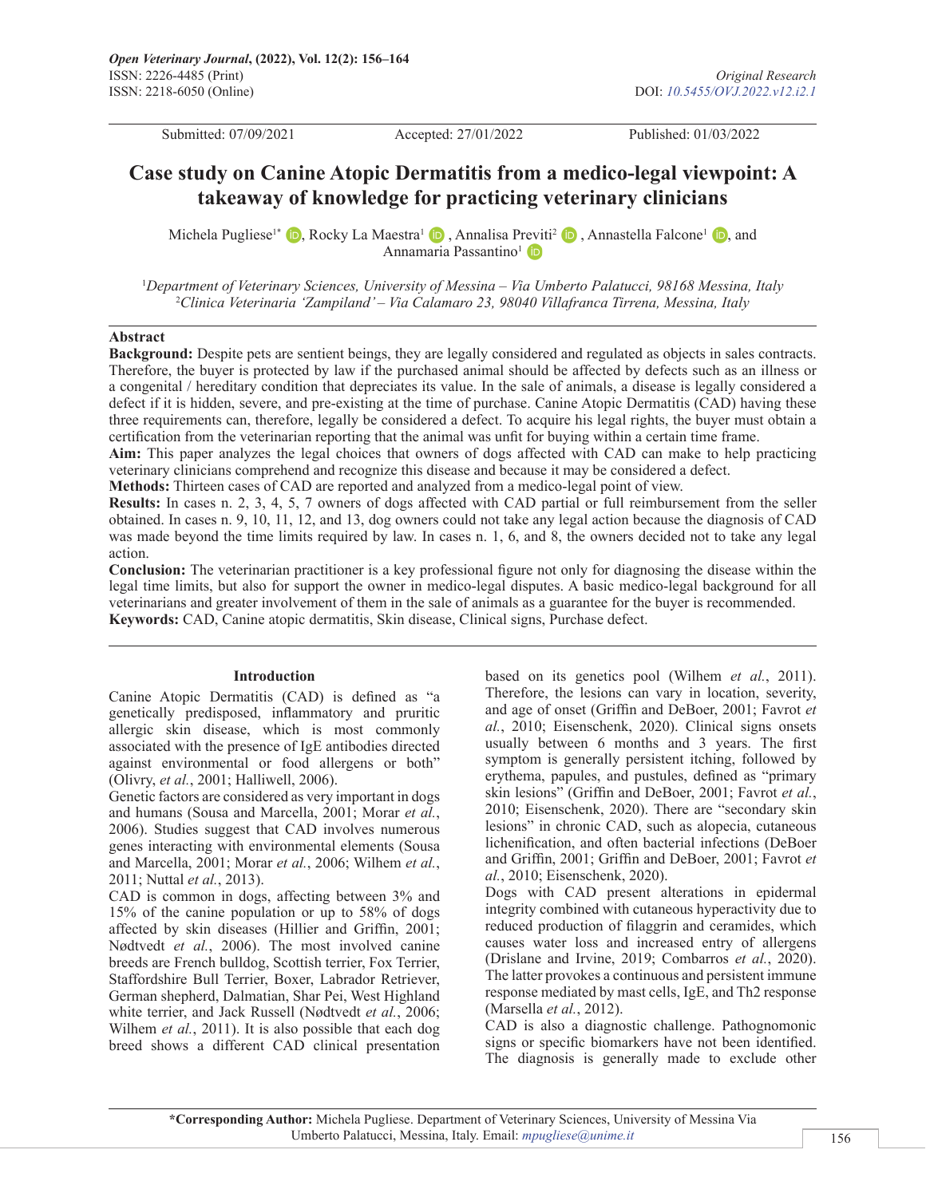Submitted: 07/09/2021 Accepted: 27/01/2022 Published: 01/03/2022

# **Case study on Canine Atopic Dermatitis from a medico-legal viewpoint: A takeaway of knowledge for practicing veterinary clinicians**

MichelaPugliese<sup>1\*</sup>  $\bullet$ [,](https://orcid.org/0000-0002-2087-0834) Rocky La Maestra<sup>1</sup>  $\bullet$ , Annalisa P[revit](https://orcid.org/0000-0001-6219-0004)i<sup>2</sup>  $\bullet$ , Annastella Falcone<sup>1</sup>  $\bullet$ , and Annamaria Passantino<sup>1</sup>

1 *Department of Veterinary Sciences, University of Messina – Via Umberto Palatucci, 98168 Messina, Italy* 2 *Clinica Veterinaria 'Zampiland' – Via Calamaro 23, 98040 Villafranca Tirrena, Messina, Italy*

#### **Abstract**

**Background:** Despite pets are sentient beings, they are legally considered and regulated as objects in sales contracts. Therefore, the buyer is protected by law if the purchased animal should be affected by defects such as an illness or a congenital / hereditary condition that depreciates its value. In the sale of animals, a disease is legally considered a defect if it is hidden, severe, and pre-existing at the time of purchase. Canine Atopic Dermatitis (CAD) having these three requirements can, therefore, legally be considered a defect. To acquire his legal rights, the buyer must obtain a certification from the veterinarian reporting that the animal was unfit for buying within a certain time frame.

**Aim:** This paper analyzes the legal choices that owners of dogs affected with CAD can make to help practicing veterinary clinicians comprehend and recognize this disease and because it may be considered a defect.

**Methods:** Thirteen cases of CAD are reported and analyzed from a medico-legal point of view.

**Results:** In cases n. 2, 3, 4, 5, 7 owners of dogs affected with CAD partial or full reimbursement from the seller obtained. In cases n. 9, 10, 11, 12, and 13, dog owners could not take any legal action because the diagnosis of CAD was made beyond the time limits required by law. In cases n. 1, 6, and 8, the owners decided not to take any legal action.

**Conclusion:** The veterinarian practitioner is a key professional figure not only for diagnosing the disease within the legal time limits, but also for support the owner in medico-legal disputes. A basic medico-legal background for all veterinarians and greater involvement of them in the sale of animals as a guarantee for the buyer is recommended. **Keywords:** CAD, Canine atopic dermatitis, Skin disease, Clinical signs, Purchase defect.

#### **Introduction**

Canine Atopic Dermatitis (CAD) is defined as "a genetically predisposed, inflammatory and pruritic allergic skin disease, which is most commonly associated with the presence of IgE antibodies directed against environmental or food allergens or both" (Olivry, *et al.*, 2001; Halliwell, 2006).

Genetic factors are considered as very important in dogs and humans (Sousa and Marcella, 2001; Morar *et al.*, 2006). Studies suggest that CAD involves numerous genes interacting with environmental elements (Sousa and Marcella, 2001; Morar *et al.*, 2006; Wilhem *et al.*, 2011; Nuttal *et al.*, 2013).

CAD is common in dogs, affecting between 3% and 15% of the canine population or up to 58% of dogs affected by skin diseases (Hillier and Griffin, 2001; Nødtvedt *et al.*, 2006). The most involved canine breeds are French bulldog, Scottish terrier, Fox Terrier, Staffordshire Bull Terrier, Boxer, Labrador Retriever, German shepherd, Dalmatian, Shar Pei, West Highland white terrier, and Jack Russell (Nødtvedt *et al.*, 2006; Wilhem *et al.*, 2011). It is also possible that each dog breed shows a different CAD clinical presentation

based on its genetics pool (Wilhem *et al.*, 2011). Therefore, the lesions can vary in location, severity, and age of onset (Griffin and DeBoer, 2001; Favrot *et al.*, 2010; Eisenschenk, 2020). Clinical signs onsets usually between 6 months and 3 years. The first symptom is generally persistent itching, followed by erythema, papules, and pustules, defined as "primary skin lesions" (Griffin and DeBoer, 2001; Favrot *et al.*, 2010; Eisenschenk, 2020). There are "secondary skin lesions" in chronic CAD, such as alopecia, cutaneous lichenification, and often bacterial infections (DeBoer and Griffin, 2001; Griffin and DeBoer, 2001; Favrot *et al.*, 2010; Eisenschenk, 2020).

Dogs with CAD present alterations in epidermal integrity combined with cutaneous hyperactivity due to reduced production of filaggrin and ceramides, which causes water loss and increased entry of allergens (Drislane and Irvine, 2019; Combarros *et al.*, 2020). The latter provokes a continuous and persistent immune response mediated by mast cells, IgE, and Th2 response (Marsella *et al.*, 2012).

CAD is also a diagnostic challenge. Pathognomonic signs or specific biomarkers have not been identified. The diagnosis is generally made to exclude other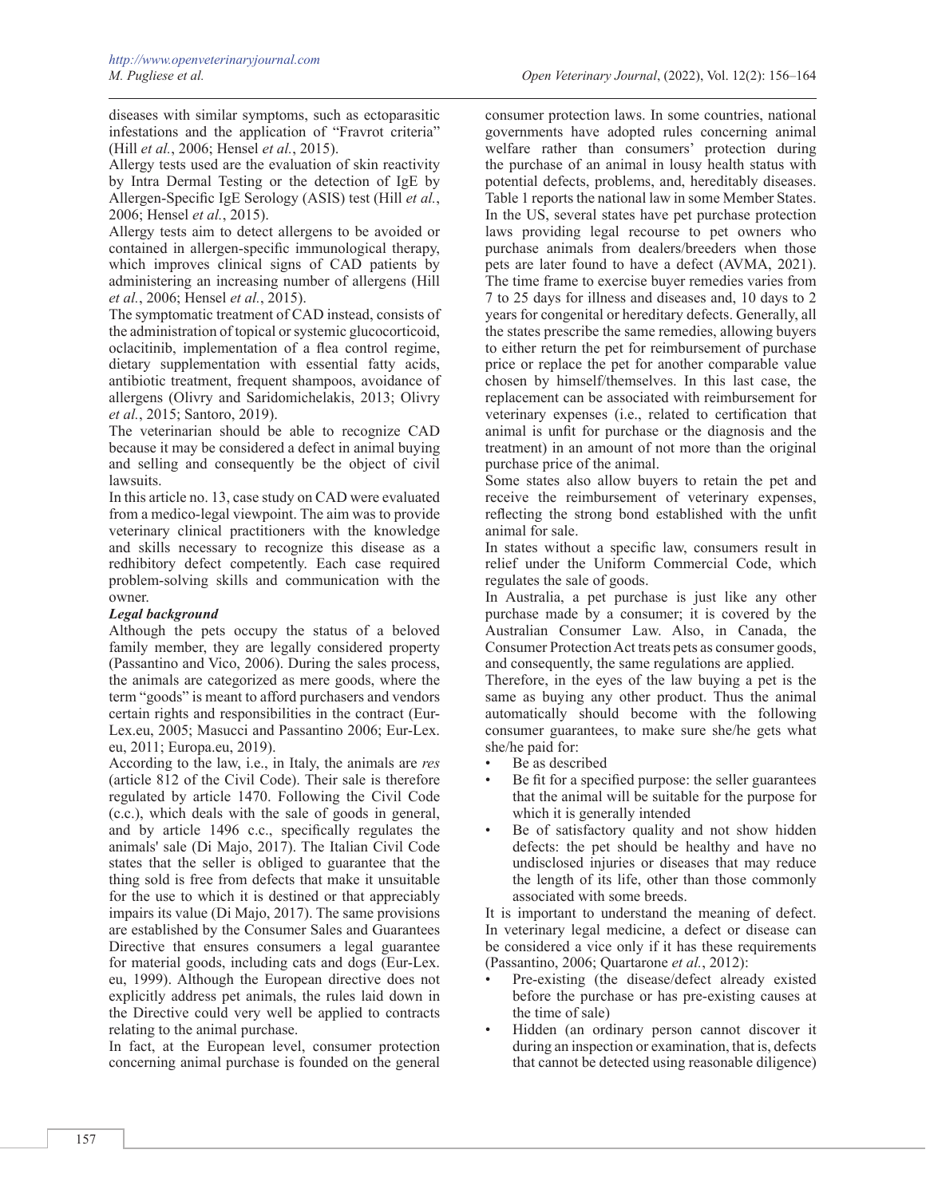diseases with similar symptoms, such as ectoparasitic infestations and the application of "Fravrot criteria" (Hill *et al.*, 2006; Hensel *et al.*, 2015).

Allergy tests used are the evaluation of skin reactivity by Intra Dermal Testing or the detection of IgE by Allergen-Specific IgE Serology (ASIS) test (Hill *et al.*, 2006; Hensel *et al.*, 2015).

Allergy tests aim to detect allergens to be avoided or contained in allergen-specific immunological therapy, which improves clinical signs of CAD patients by administering an increasing number of allergens (Hill *et al.*, 2006; Hensel *et al.*, 2015).

The symptomatic treatment of CAD instead, consists of the administration of topical or systemic glucocorticoid, oclacitinib, implementation of a flea control regime, dietary supplementation with essential fatty acids, antibiotic treatment, frequent shampoos, avoidance of allergens (Olivry and Saridomichelakis, 2013; Olivry *et al.*, 2015; Santoro, 2019).

The veterinarian should be able to recognize CAD because it may be considered a defect in animal buying and selling and consequently be the object of civil lawsuits.

In this article no. 13, case study on CAD were evaluated from a medico-legal viewpoint. The aim was to provide veterinary clinical practitioners with the knowledge and skills necessary to recognize this disease as a redhibitory defect competently. Each case required problem-solving skills and communication with the owner.

# *Legal background*

Although the pets occupy the status of a beloved family member, they are legally considered property (Passantino and Vico, 2006). During the sales process, the animals are categorized as mere goods, where the term "goods" is meant to afford purchasers and vendors certain rights and responsibilities in the contract (Eur-Lex.eu, 2005; Masucci and Passantino 2006; Eur-Lex. eu, 2011; Europa.eu, 2019).

According to the law, i.e., in Italy, the animals are *res* (article 812 of the Civil Code). Their sale is therefore regulated by article 1470. Following the Civil Code (c.c.), which deals with the sale of goods in general, and by article 1496 c.c., specifically regulates the animals' sale (Di Majo, 2017). The Italian Civil Code states that the seller is obliged to guarantee that the thing sold is free from defects that make it unsuitable for the use to which it is destined or that appreciably impairs its value (Di Majo, 2017). The same provisions are established by the Consumer Sales and Guarantees Directive that ensures consumers a legal guarantee for material goods, including cats and dogs (Eur-Lex. eu, 1999). Although the European directive does not explicitly address pet animals, the rules laid down in the Directive could very well be applied to contracts relating to the animal purchase.

In fact, at the European level, consumer protection concerning animal purchase is founded on the general

consumer protection laws. In some countries, national governments have adopted rules concerning animal welfare rather than consumers' protection during the purchase of an animal in lousy health status with potential defects, problems, and, hereditably diseases. Table 1 reports the national law in some Member States. In the US, several states have pet purchase protection laws providing legal recourse to pet owners who purchase animals from dealers/breeders when those pets are later found to have a defect (AVMA, 2021). The time frame to exercise buyer remedies varies from 7 to 25 days for illness and diseases and, 10 days to 2 years for congenital or hereditary defects. Generally, all the states prescribe the same remedies, allowing buyers to either return the pet for reimbursement of purchase price or replace the pet for another comparable value chosen by himself/themselves. In this last case, the replacement can be associated with reimbursement for veterinary expenses (i.e., related to certification that animal is unfit for purchase or the diagnosis and the treatment) in an amount of not more than the original purchase price of the animal.

Some states also allow buyers to retain the pet and receive the reimbursement of veterinary expenses, reflecting the strong bond established with the unfit animal for sale.

In states without a specific law, consumers result in relief under the Uniform Commercial Code, which regulates the sale of goods.

In Australia, a pet purchase is just like any other purchase made by a consumer; it is covered by the Australian Consumer Law. Also, in Canada, the Consumer Protection Act treats pets as consumer goods, and consequently, the same regulations are applied.

Therefore, in the eyes of the law buying a pet is the same as buying any other product. Thus the animal automatically should become with the following consumer guarantees, to make sure she/he gets what she/he paid for:

- Be as described
- Be fit for a specified purpose: the seller guarantees that the animal will be suitable for the purpose for which it is generally intended
- Be of satisfactory quality and not show hidden defects: the pet should be healthy and have no undisclosed injuries or diseases that may reduce the length of its life, other than those commonly associated with some breeds.

It is important to understand the meaning of defect. In veterinary legal medicine, a defect or disease can be considered a vice only if it has these requirements (Passantino, 2006; Quartarone *et al.*, 2012):

- Pre-existing (the disease/defect already existed before the purchase or has pre-existing causes at the time of sale)
- Hidden (an ordinary person cannot discover it during an inspection or examination, that is, defects that cannot be detected using reasonable diligence)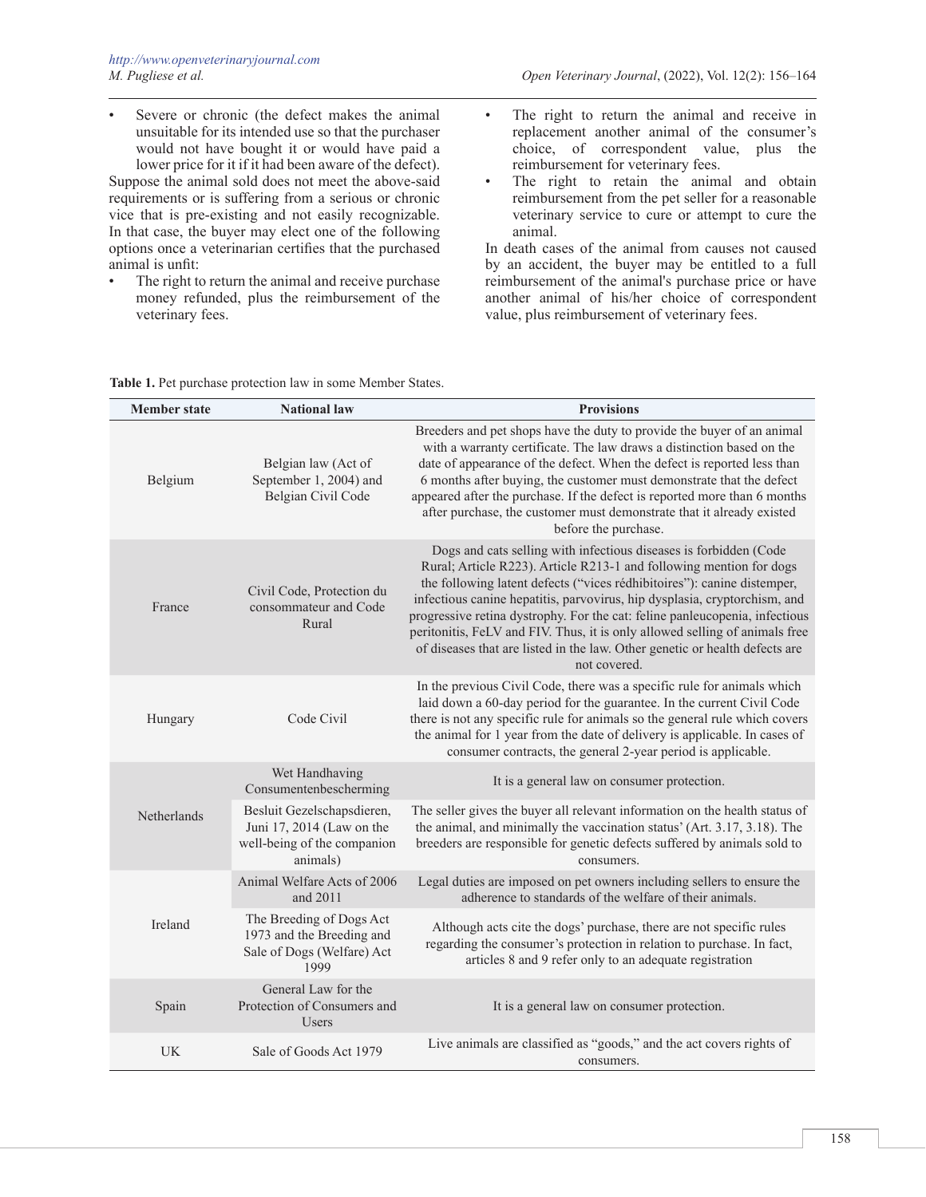Severe or chronic (the defect makes the animal unsuitable for its intended use so that the purchaser would not have bought it or would have paid a lower price for it if it had been aware of the defect).

Suppose the animal sold does not meet the above-said requirements or is suffering from a serious or chronic vice that is pre-existing and not easily recognizable. In that case, the buyer may elect one of the following options once a veterinarian certifies that the purchased animal is unfit:

- The right to return the animal and receive purchase money refunded, plus the reimbursement of the veterinary fees.
- The right to return the animal and receive in replacement another animal of the consumer's choice, of correspondent value, plus the reimbursement for veterinary fees.
- The right to retain the animal and obtain reimbursement from the pet seller for a reasonable veterinary service to cure or attempt to cure the animal.

In death cases of the animal from causes not caused by an accident, the buyer may be entitled to a full reimbursement of the animal's purchase price or have another animal of his/her choice of correspondent value, plus reimbursement of veterinary fees.

| <b>Member state</b> | <b>National law</b>                                                                                | <b>Provisions</b>                                                                                                                                                                                                                                                                                                                                                                                                                                                                                                                                             |
|---------------------|----------------------------------------------------------------------------------------------------|---------------------------------------------------------------------------------------------------------------------------------------------------------------------------------------------------------------------------------------------------------------------------------------------------------------------------------------------------------------------------------------------------------------------------------------------------------------------------------------------------------------------------------------------------------------|
| Belgium             | Belgian law (Act of<br>September 1, 2004) and<br>Belgian Civil Code                                | Breeders and pet shops have the duty to provide the buyer of an animal<br>with a warranty certificate. The law draws a distinction based on the<br>date of appearance of the defect. When the defect is reported less than<br>6 months after buying, the customer must demonstrate that the defect<br>appeared after the purchase. If the defect is reported more than 6 months<br>after purchase, the customer must demonstrate that it already existed<br>before the purchase.                                                                              |
| France              | Civil Code, Protection du<br>consommateur and Code<br>Rural                                        | Dogs and cats selling with infectious diseases is forbidden (Code<br>Rural; Article R223). Article R213-1 and following mention for dogs<br>the following latent defects ("vices rédhibitoires"): canine distemper,<br>infectious canine hepatitis, parvovirus, hip dysplasia, cryptorchism, and<br>progressive retina dystrophy. For the cat: feline panleucopenia, infectious<br>peritonitis, FeLV and FIV. Thus, it is only allowed selling of animals free<br>of diseases that are listed in the law. Other genetic or health defects are<br>not covered. |
| Hungary             | Code Civil                                                                                         | In the previous Civil Code, there was a specific rule for animals which<br>laid down a 60-day period for the guarantee. In the current Civil Code<br>there is not any specific rule for animals so the general rule which covers<br>the animal for 1 year from the date of delivery is applicable. In cases of<br>consumer contracts, the general 2-year period is applicable.                                                                                                                                                                                |
|                     | Wet Handhaving<br>Consumentenbescherming                                                           | It is a general law on consumer protection.                                                                                                                                                                                                                                                                                                                                                                                                                                                                                                                   |
| Netherlands         | Besluit Gezelschapsdieren,<br>Juni 17, 2014 (Law on the<br>well-being of the companion<br>animals) | The seller gives the buyer all relevant information on the health status of<br>the animal, and minimally the vaccination status' (Art. 3.17, 3.18). The<br>breeders are responsible for genetic defects suffered by animals sold to<br>consumers.                                                                                                                                                                                                                                                                                                             |
|                     | Animal Welfare Acts of 2006<br>and 2011                                                            | Legal duties are imposed on pet owners including sellers to ensure the<br>adherence to standards of the welfare of their animals.                                                                                                                                                                                                                                                                                                                                                                                                                             |
| Ireland             | The Breeding of Dogs Act<br>1973 and the Breeding and<br>Sale of Dogs (Welfare) Act<br>1999        | Although acts cite the dogs' purchase, there are not specific rules<br>regarding the consumer's protection in relation to purchase. In fact,<br>articles 8 and 9 refer only to an adequate registration                                                                                                                                                                                                                                                                                                                                                       |
| Spain               | General Law for the<br>Protection of Consumers and<br><b>Users</b>                                 | It is a general law on consumer protection.                                                                                                                                                                                                                                                                                                                                                                                                                                                                                                                   |
| UK                  | Sale of Goods Act 1979                                                                             | Live animals are classified as "goods," and the act covers rights of<br>consumers.                                                                                                                                                                                                                                                                                                                                                                                                                                                                            |

## **Table 1.** Pet purchase protection law in some Member States.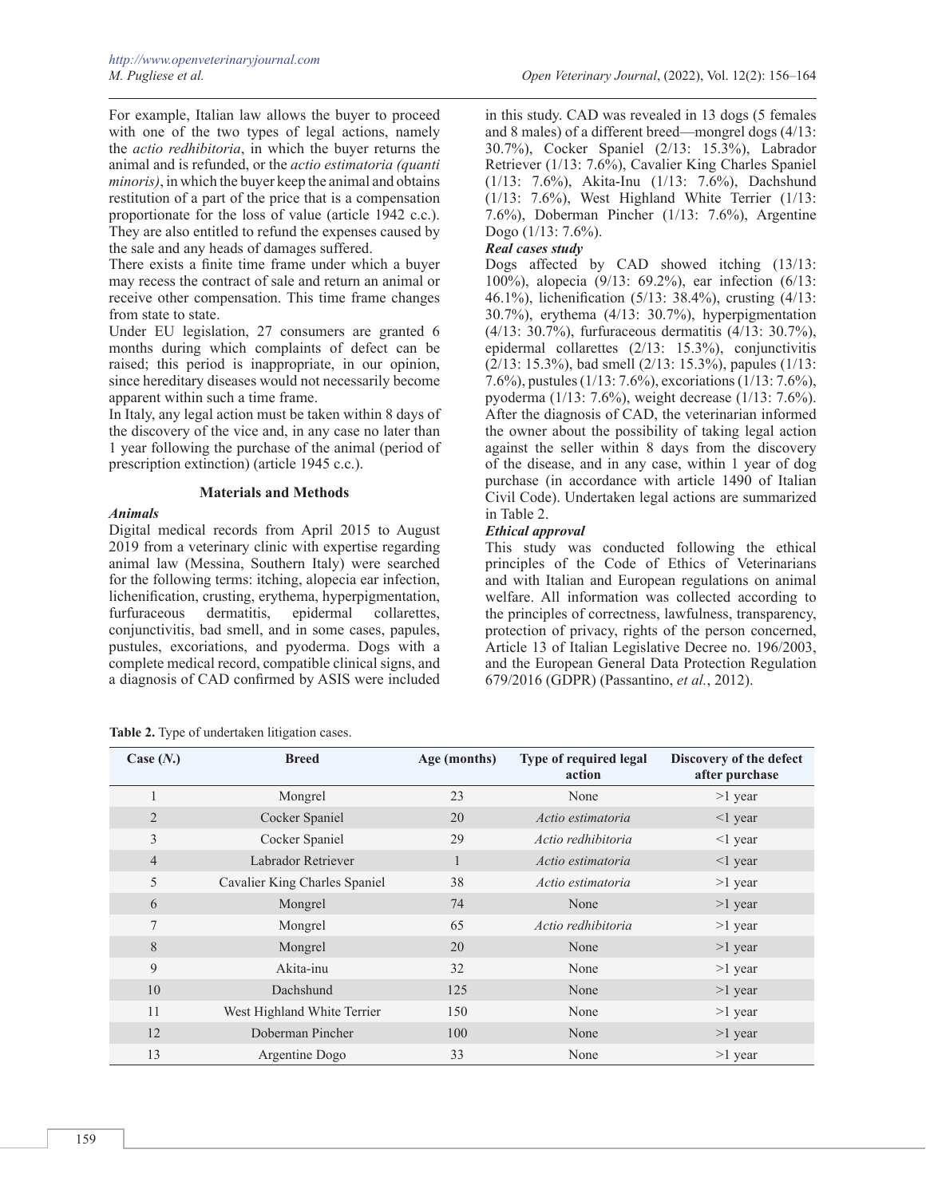For example, Italian law allows the buyer to proceed with one of the two types of legal actions, namely the *actio redhibitoria*, in which the buyer returns the animal and is refunded, or the *actio estimatoria (quanti minoris)*, in which the buyer keep the animal and obtains restitution of a part of the price that is a compensation proportionate for the loss of value (article 1942 c.c.). They are also entitled to refund the expenses caused by the sale and any heads of damages suffered.

There exists a finite time frame under which a buyer may recess the contract of sale and return an animal or receive other compensation. This time frame changes from state to state.

Under EU legislation, 27 consumers are granted 6 months during which complaints of defect can be raised; this period is inappropriate, in our opinion, since hereditary diseases would not necessarily become apparent within such a time frame.

In Italy, any legal action must be taken within 8 days of the discovery of the vice and, in any case no later than 1 year following the purchase of the animal (period of prescription extinction) (article 1945 c.c.).

## **Materials and Methods**

## *Animals*

Digital medical records from April 2015 to August 2019 from a veterinary clinic with expertise regarding animal law (Messina, Southern Italy) were searched for the following terms: itching, alopecia ear infection, lichenification, crusting, erythema, hyperpigmentation, furfuraceous dermatitis, epidermal collarettes, conjunctivitis, bad smell, and in some cases, papules, pustules, excoriations, and pyoderma. Dogs with a complete medical record, compatible clinical signs, and a diagnosis of CAD confirmed by ASIS were included

|  |  | Table 2. Type of undertaken litigation cases. |  |  |
|--|--|-----------------------------------------------|--|--|
|--|--|-----------------------------------------------|--|--|

in this study. CAD was revealed in 13 dogs (5 females and 8 males) of a different breed—mongrel dogs (4/13: 30.7%), Cocker Spaniel (2/13: 15.3%), Labrador Retriever (1/13: 7.6%), Cavalier King Charles Spaniel (1/13: 7.6%), Akita-Inu (1/13: 7.6%), Dachshund (1/13: 7.6%), West Highland White Terrier (1/13: 7.6%), Doberman Pincher (1/13: 7.6%), Argentine Dogo (1/13: 7.6%).

# *Real cases study*

Dogs affected by CAD showed itching (13/13: 100%), alopecia (9/13: 69.2%), ear infection (6/13: 46.1%), lichenification (5/13: 38.4%), crusting (4/13: 30.7%), erythema (4/13: 30.7%), hyperpigmentation (4/13: 30.7%), furfuraceous dermatitis (4/13: 30.7%), epidermal collarettes (2/13: 15.3%), conjunctivitis (2/13: 15.3%), bad smell (2/13: 15.3%), papules (1/13: 7.6%), pustules (1/13: 7.6%), excoriations (1/13: 7.6%), pyoderma (1/13: 7.6%), weight decrease (1/13: 7.6%). After the diagnosis of CAD, the veterinarian informed the owner about the possibility of taking legal action against the seller within 8 days from the discovery of the disease, and in any case, within 1 year of dog purchase (in accordance with article 1490 of Italian Civil Code). Undertaken legal actions are summarized in Table 2.

# *Ethical approval*

This study was conducted following the ethical principles of the Code of Ethics of Veterinarians and with Italian and European regulations on animal welfare. All information was collected according to the principles of correctness, lawfulness, transparency, protection of privacy, rights of the person concerned, Article 13 of Italian Legislative Decree no. 196/2003, and the European General Data Protection Regulation 679/2016 (GDPR) (Passantino, *et al.*, 2012).

| Case $(N.)$    | <b>Breed</b>                  | Age (months) | Type of required legal<br>action | Discovery of the defect<br>after purchase |
|----------------|-------------------------------|--------------|----------------------------------|-------------------------------------------|
|                | Mongrel                       | 23           | None                             | $>1$ year                                 |
| 2              | Cocker Spaniel                | 20           | Actio estimatoria                | $\leq$ 1 year                             |
| 3              | Cocker Spaniel                | 29           | Actio redhibitoria               | $\leq$ 1 year                             |
| $\overline{4}$ | Labrador Retriever            |              | Actio estimatoria                | $\leq$ 1 year                             |
| 5              | Cavalier King Charles Spaniel | 38           | Actio estimatoria                | $>1$ year                                 |
| 6              | Mongrel                       | 74           | None                             | $>1$ year                                 |
| 7              | Mongrel                       | 65           | Actio redhibitoria               | $>1$ year                                 |
| 8              | Mongrel                       | 20           | None                             | $>1$ year                                 |
| 9              | Akita-inu                     | 32           | None                             | $>1$ year                                 |
| 10             | Dachshund                     | 125          | None                             | $>1$ year                                 |
| 11             | West Highland White Terrier   | 150          | None                             | $>1$ year                                 |
| 12             | Doberman Pincher              | 100          | None                             | $>1$ year                                 |
| 13             | Argentine Dogo                | 33           | None                             | $>1$ year                                 |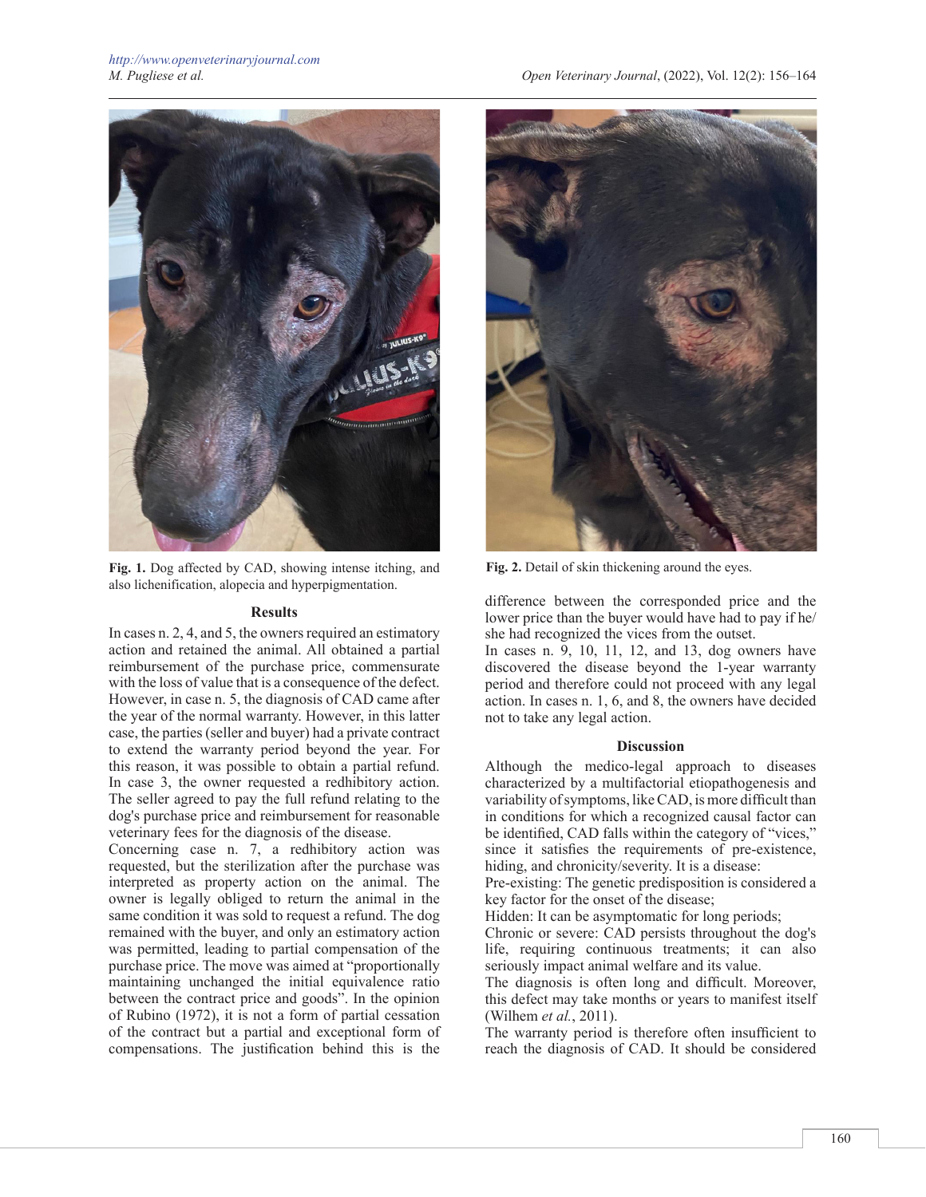

**Fig. 1.** Dog affected by CAD, showing intense itching, and also lichenification, alopecia and hyperpigmentation.

#### **Results**

In cases n. 2, 4, and 5, the owners required an estimatory action and retained the animal. All obtained a partial reimbursement of the purchase price, commensurate with the loss of value that is a consequence of the defect. However, in case n. 5, the diagnosis of CAD came after the year of the normal warranty. However, in this latter case, the parties (seller and buyer) had a private contract to extend the warranty period beyond the year. For this reason, it was possible to obtain a partial refund. In case 3, the owner requested a redhibitory action. The seller agreed to pay the full refund relating to the dog's purchase price and reimbursement for reasonable veterinary fees for the diagnosis of the disease.

Concerning case n. 7, a redhibitory action was requested, but the sterilization after the purchase was interpreted as property action on the animal. The owner is legally obliged to return the animal in the same condition it was sold to request a refund. The dog remained with the buyer, and only an estimatory action was permitted, leading to partial compensation of the purchase price. The move was aimed at "proportionally maintaining unchanged the initial equivalence ratio between the contract price and goods". In the opinion of Rubino (1972), it is not a form of partial cessation of the contract but a partial and exceptional form of compensations. The justification behind this is the



**Fig. 2.** Detail of skin thickening around the eyes.

difference between the corresponded price and the lower price than the buyer would have had to pay if he/ she had recognized the vices from the outset.

In cases n. 9, 10, 11, 12, and 13, dog owners have discovered the disease beyond the 1-year warranty period and therefore could not proceed with any legal action. In cases n. 1, 6, and 8, the owners have decided not to take any legal action.

## **Discussion**

Although the medico-legal approach to diseases characterized by a multifactorial etiopathogenesis and variability of symptoms, like CAD, is more difficult than in conditions for which a recognized causal factor can be identified, CAD falls within the category of "vices," since it satisfies the requirements of pre-existence, hiding, and chronicity/severity. It is a disease:

Pre-existing: The genetic predisposition is considered a key factor for the onset of the disease;

Hidden: It can be asymptomatic for long periods;

Chronic or severe: CAD persists throughout the dog's life, requiring continuous treatments; it can also seriously impact animal welfare and its value.

The diagnosis is often long and difficult. Moreover, this defect may take months or years to manifest itself (Wilhem *et al.*, 2011).

The warranty period is therefore often insufficient to reach the diagnosis of CAD. It should be considered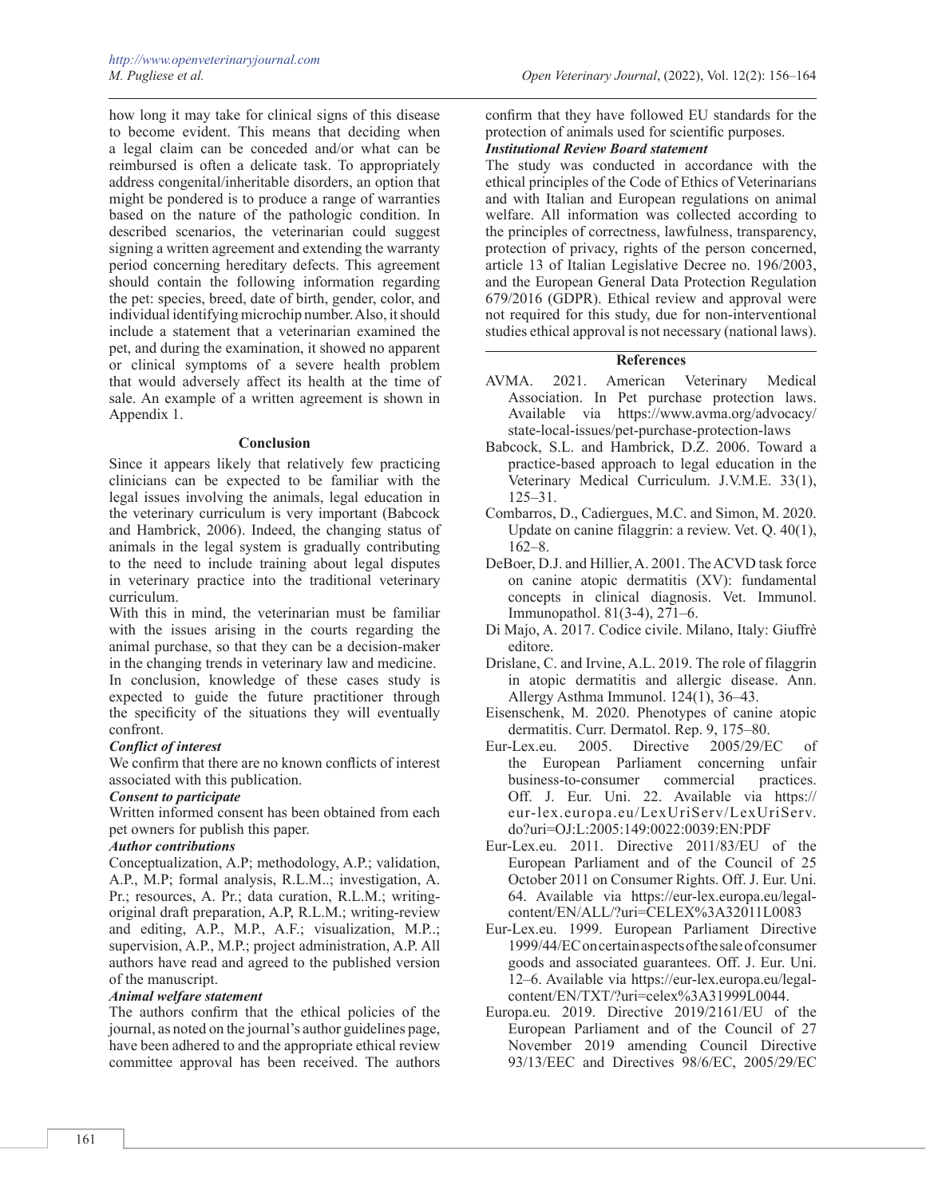how long it may take for clinical signs of this disease to become evident. This means that deciding when a legal claim can be conceded and/or what can be reimbursed is often a delicate task. To appropriately address congenital/inheritable disorders, an option that might be pondered is to produce a range of warranties based on the nature of the pathologic condition. In described scenarios, the veterinarian could suggest signing a written agreement and extending the warranty period concerning hereditary defects. This agreement should contain the following information regarding the pet: species, breed, date of birth, gender, color, and individual identifying microchip number. Also, it should include a statement that a veterinarian examined the pet, and during the examination, it showed no apparent or clinical symptoms of a severe health problem that would adversely affect its health at the time of sale. An example of a written agreement is shown in Appendix 1.

#### **Conclusion**

Since it appears likely that relatively few practicing clinicians can be expected to be familiar with the legal issues involving the animals, legal education in the veterinary curriculum is very important (Babcock and Hambrick, 2006). Indeed, the changing status of animals in the legal system is gradually contributing to the need to include training about legal disputes in veterinary practice into the traditional veterinary curriculum.

With this in mind, the veterinarian must be familiar with the issues arising in the courts regarding the animal purchase, so that they can be a decision-maker in the changing trends in veterinary law and medicine.

In conclusion, knowledge of these cases study is expected to guide the future practitioner through the specificity of the situations they will eventually confront.

## *Conflict of interest*

We confirm that there are no known conflicts of interest associated with this publication.

### *Consent to participate*

Written informed consent has been obtained from each pet owners for publish this paper.

# *Author contributions*

Conceptualization, A.P; methodology, A.P.; validation, A.P., M.P; formal analysis, R.L.M..; investigation, A. Pr.; resources, A. Pr.; data curation, R.L.M.; writingoriginal draft preparation, A.P, R.L.M.; writing-review and editing, A.P., M.P., A.F.; visualization, M.P..; supervision, A.P., M.P.; project administration, A.P. All authors have read and agreed to the published version of the manuscript.

# *Animal welfare statement*

The authors confirm that the ethical policies of the journal, as noted on the journal's author guidelines page, have been adhered to and the appropriate ethical review committee approval has been received. The authors

confirm that they have followed EU standards for the protection of animals used for scientific purposes.

# *Institutional Review Board statement*

The study was conducted in accordance with the ethical principles of the Code of Ethics of Veterinarians and with Italian and European regulations on animal welfare. All information was collected according to the principles of correctness, lawfulness, transparency, protection of privacy, rights of the person concerned, article 13 of Italian Legislative Decree no. 196/2003, and the European General Data Protection Regulation 679/2016 (GDPR). Ethical review and approval were not required for this study, due for non-interventional studies ethical approval is not necessary (national laws).

# **References**

- AVMA. 2021. American Veterinary Medical Association. In Pet purchase protection laws. Available via [https://www.avma.org/advocacy/](https://www.avma.org/advocacy/state-local-issues/pet-purchase-protection-laws) [state-local-issues/pet-purchase-protection-laws](https://www.avma.org/advocacy/state-local-issues/pet-purchase-protection-laws)
- Babcock, S.L. and Hambrick, D.Z. 2006. Toward a practice-based approach to legal education in the Veterinary Medical Curriculum. J.V.M.E. 33(1), 125–31.
- Combarros, D., Cadiergues, M.C. and Simon, M. 2020. Update on canine filaggrin: a review. Vet. Q. 40(1), 162–8.
- DeBoer, D.J. and Hillier, A. 2001. The ACVD task force on canine atopic dermatitis (XV): fundamental concepts in clinical diagnosis. Vet. Immunol. Immunopathol. 81(3-4), 271–6.
- Di Majo, A. 2017. Codice civile. Milano, Italy: Giuffrè editore.
- Drislane, C. and Irvine, A.L. 2019. The role of filaggrin in atopic dermatitis and allergic disease. Ann. Allergy Asthma Immunol. 124(1), 36–43.
- Eisenschenk, M. 2020. Phenotypes of canine atopic dermatitis. Curr. Dermatol. Rep. 9, 175–80.
- [Eur-Lex.eu.](http://Eur-Lex.eu) 2005. Directive 2005/29/EC of the European Parliament concerning unfair<br>business-to-consumer commercial practices. business-to-consumer commercial Off. J. Eur. Uni. 22. Available via [https://](https://eur-lex.europa.eu/LexUriServ/LexUriServ.do?uri=OJ) [eur-lex.europa.eu/LexUriServ/LexUriServ.](https://eur-lex.europa.eu/LexUriServ/LexUriServ.do?uri=OJ) [do?uri=OJ](https://eur-lex.europa.eu/LexUriServ/LexUriServ.do?uri=OJ):L:2005:149:0022:0039:EN:PDF
- [Eur-Lex.eu.](http://Eur-Lex.eu) 2011. Directive 2011/83/EU of the European Parliament and of the Council of 25 October 2011 on Consumer Rights. Off. J. Eur. Uni. 64. Available via [https://eur-lex.europa.eu/legal](https://eur-lex.europa.eu/legal-content/EN/ALL/?uri=CELEX%3A32011L0083)[content/EN/ALL/?uri=CELEX%3A32011L0083](https://eur-lex.europa.eu/legal-content/EN/ALL/?uri=CELEX%3A32011L0083)
- [Eur-Lex.eu.](http://Eur-Lex.eu) 1999. European Parliament Directive 1999/44/EC on certain aspects of the sale of consumer goods and associated guarantees. Off. J. Eur. Uni. 12–6. Available via [https://eur-lex.europa.eu/legal](https://eur-lex.europa.eu/legal-content/EN/TXT/?uri=celex%3A31999L0044)[content/EN/TXT/?uri=celex%3A31999L0044](https://eur-lex.europa.eu/legal-content/EN/TXT/?uri=celex%3A31999L0044).
- [Europa.eu.](http://Europa.eu) 2019. Directive 2019/2161/EU of the European Parliament and of the Council of 27 November 2019 amending Council Directive 93/13/EEC and Directives 98/6/EC, 2005/29/EC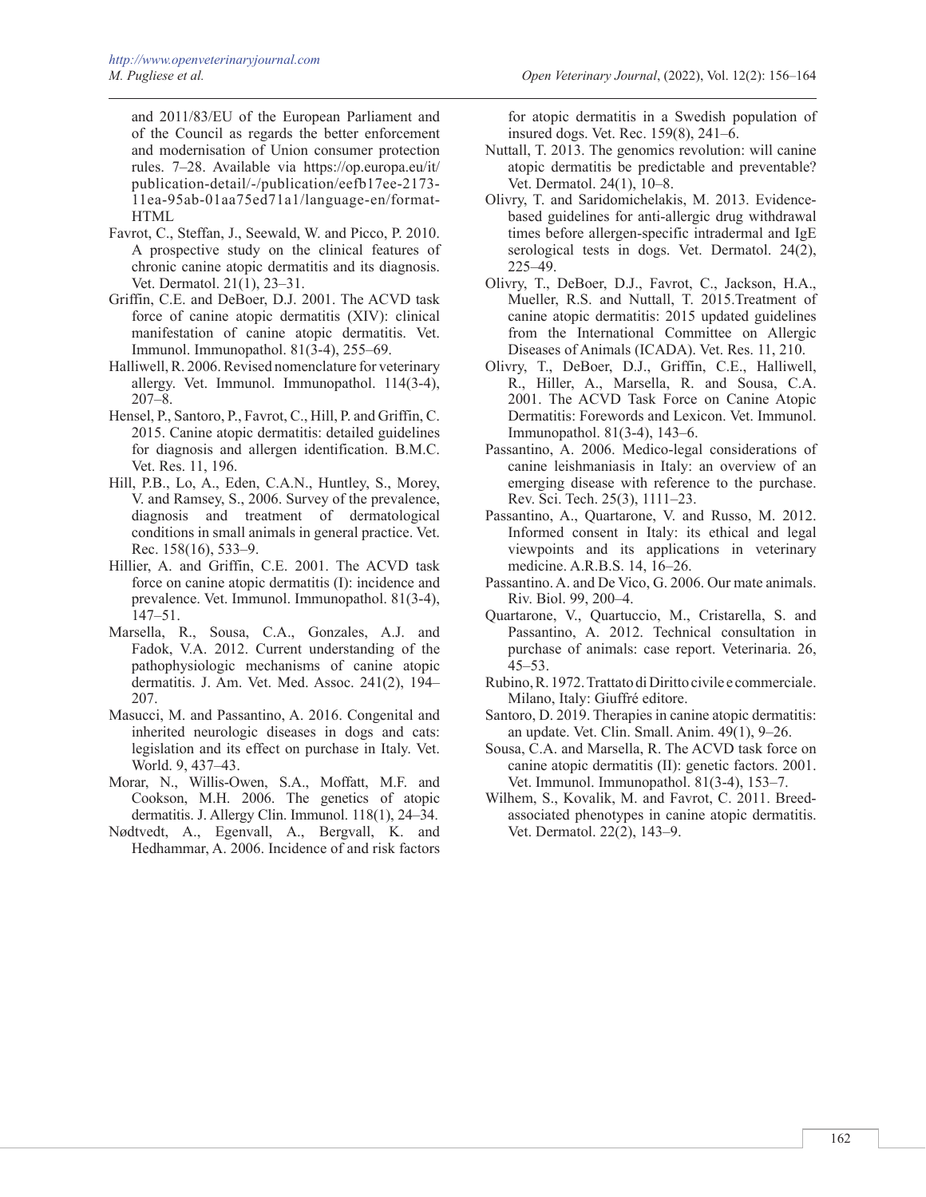and 2011/83/EU of the European Parliament and of the Council as regards the better enforcement and modernisation of Union consumer protection rules. 7–28. Available via [https://op.europa.eu/it/](https://op.europa.eu/it/publication-detail/-/publication/eefb17ee-2173-11ea-95ab-01aa75ed71a1/language-en/format-HTML) [publication-detail/-/publication/eefb17ee-2173-](https://op.europa.eu/it/publication-detail/-/publication/eefb17ee-2173-11ea-95ab-01aa75ed71a1/language-en/format-HTML) [11ea-95ab-01aa75ed71a1/language-en/format-](https://op.europa.eu/it/publication-detail/-/publication/eefb17ee-2173-11ea-95ab-01aa75ed71a1/language-en/format-HTML)[HTML](https://op.europa.eu/it/publication-detail/-/publication/eefb17ee-2173-11ea-95ab-01aa75ed71a1/language-en/format-HTML)

- Favrot, C., Steffan, J., Seewald, W. and Picco, P. 2010. A prospective study on the clinical features of chronic canine atopic dermatitis and its diagnosis. Vet. Dermatol. 21(1), 23–31.
- Griffin, C.E. and DeBoer, D.J. 2001. The ACVD task force of canine atopic dermatitis (XIV): clinical manifestation of canine atopic dermatitis. Vet. Immunol. Immunopathol. 81(3-4), 255–69.
- Halliwell, R. 2006. Revised nomenclature for veterinary allergy. Vet. Immunol. Immunopathol. 114(3-4), 207–8.
- Hensel, P., Santoro, P., Favrot, C., Hill, P. and Griffin, C. 2015. Canine atopic dermatitis: detailed guidelines for diagnosis and allergen identification. B.M.C. Vet. Res. 11, 196.
- Hill, P.B., Lo, A., Eden, C.A.N., Huntley, S., Morey, V. and Ramsey, S., 2006. Survey of the prevalence, diagnosis and treatment of dermatological conditions in small animals in general practice. Vet. Rec. 158(16), 533–9.
- Hillier, A. and Griffin, C.E. 2001. The ACVD task force on canine atopic dermatitis (I): incidence and prevalence. Vet. Immunol. Immunopathol. 81(3-4), 147–51.
- Marsella, R., Sousa, C.A., Gonzales, A.J. and Fadok, V.A. 2012. Current understanding of the pathophysiologic mechanisms of canine atopic dermatitis. J. Am. Vet. Med. Assoc. 241(2), 194– 207.
- Masucci, M. and Passantino, A. 2016. Congenital and inherited neurologic diseases in dogs and cats: legislation and its effect on purchase in Italy. Vet. World. 9, 437–43.
- Morar, N., Willis-Owen, S.A., Moffatt, M.F. and Cookson, M.H. 2006. The genetics of atopic dermatitis. J. Allergy Clin. Immunol. 118(1), 24–34.
- Nødtvedt, A., Egenvall, A., Bergvall, K. and Hedhammar, A. 2006. Incidence of and risk factors

for atopic dermatitis in a Swedish population of insured dogs. Vet. Rec. 159(8), 241–6.

- Nuttall, T. 2013. The genomics revolution: will canine atopic dermatitis be predictable and preventable? Vet. Dermatol. 24(1), 10–8.
- Olivry, T. and Saridomichelakis, M. 2013. Evidencebased guidelines for anti-allergic drug withdrawal times before allergen-specific intradermal and IgE serological tests in dogs. Vet. Dermatol. 24(2), 225–49.
- Olivry, T., DeBoer, D.J., Favrot, C., Jackson, H.A., Mueller, R.S. and Nuttall, T. 2015.Treatment of canine atopic dermatitis: 2015 updated guidelines from the International Committee on Allergic Diseases of Animals (ICADA). Vet. Res. 11, 210.
- Olivry, T., DeBoer, D.J., Griffin, C.E., Halliwell, R., Hiller, A., Marsella, R. and Sousa, C.A. 2001. The ACVD Task Force on Canine Atopic Dermatitis: Forewords and Lexicon. Vet. Immunol. Immunopathol. 81(3-4), 143–6.
- Passantino, A. 2006. Medico-legal considerations of canine leishmaniasis in Italy: an overview of an emerging disease with reference to the purchase. Rev. Sci. Tech. 25(3), 1111–23.
- Passantino, A., Quartarone, V. and Russo, M. 2012. Informed consent in Italy: its ethical and legal viewpoints and its applications in veterinary medicine. A.R.B.S. 14, 16–26.
- Passantino. A. and De Vico, G. 2006. Our mate animals. Riv. Biol. 99, 200–4.
- Quartarone, V., Quartuccio, M., Cristarella, S. and Passantino, A. 2012. Technical consultation in purchase of animals: case report. Veterinaria. 26, 45–53.
- Rubino, R. 1972. Trattato di Diritto civile e commerciale. Milano, Italy: Giuffré editore.
- Santoro, D. 2019. Therapies in canine atopic dermatitis: an update. Vet. Clin. Small. Anim. 49(1), 9–26.
- Sousa, C.A. and Marsella, R. The ACVD task force on canine atopic dermatitis (II): genetic factors. 2001. Vet. Immunol. Immunopathol. 81(3-4), 153–7.
- Wilhem, S., Kovalik, M. and Favrot, C. 2011. Breedassociated phenotypes in canine atopic dermatitis. Vet. Dermatol. 22(2), 143–9.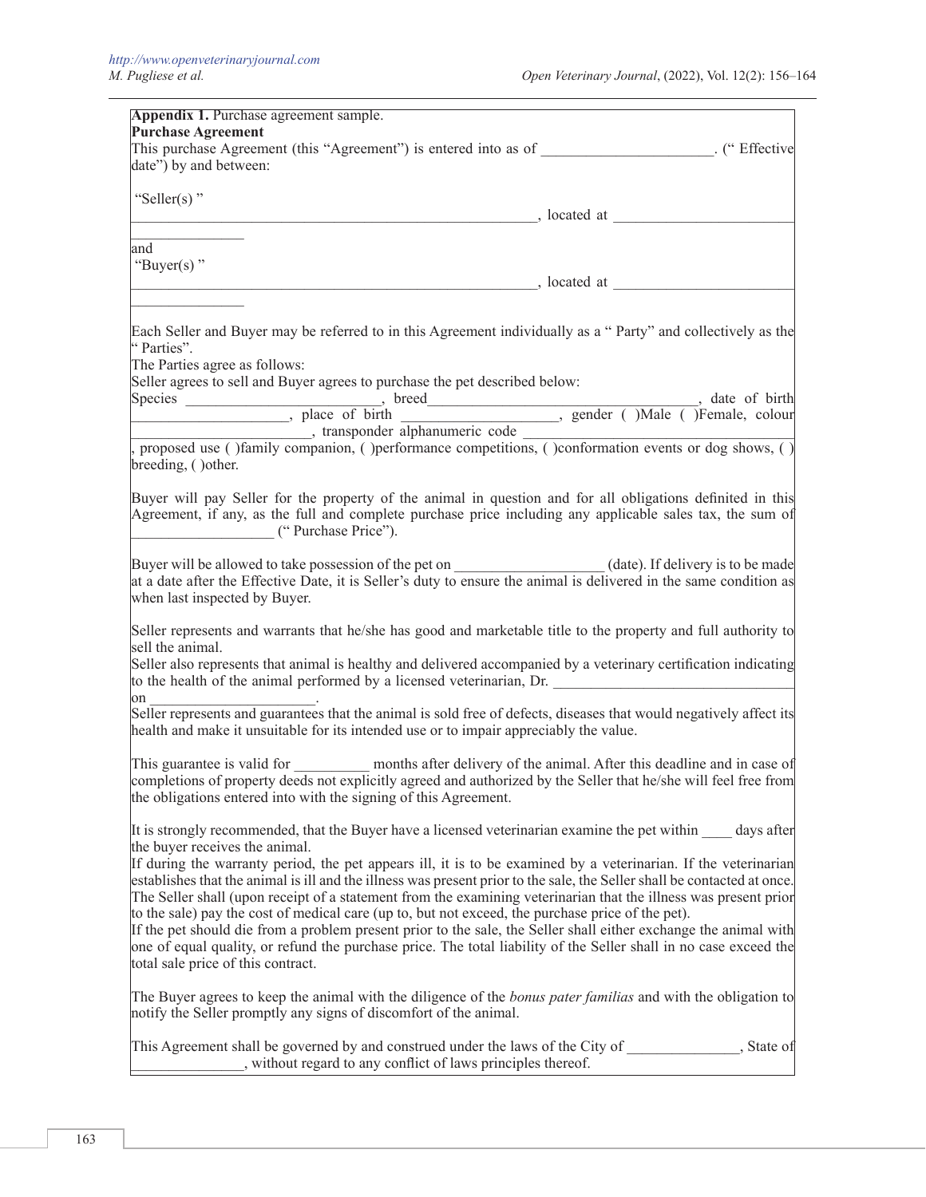| This purchase Agreement (this "Agreement") is entered into as of ____________________. ("Effective<br>date") by and between:                                                                                                                                                                                                                                                                                                                                                                                                                                                                                                                                                                                                                                                                                                                                                                                                                                                                                                                                                                                                                                                                                                                                                                                                                                                                                                                                                                                                                                                    |  |
|---------------------------------------------------------------------------------------------------------------------------------------------------------------------------------------------------------------------------------------------------------------------------------------------------------------------------------------------------------------------------------------------------------------------------------------------------------------------------------------------------------------------------------------------------------------------------------------------------------------------------------------------------------------------------------------------------------------------------------------------------------------------------------------------------------------------------------------------------------------------------------------------------------------------------------------------------------------------------------------------------------------------------------------------------------------------------------------------------------------------------------------------------------------------------------------------------------------------------------------------------------------------------------------------------------------------------------------------------------------------------------------------------------------------------------------------------------------------------------------------------------------------------------------------------------------------------------|--|
| "Seller(s)"<br>$\log$ , is a located at $\log$                                                                                                                                                                                                                                                                                                                                                                                                                                                                                                                                                                                                                                                                                                                                                                                                                                                                                                                                                                                                                                                                                                                                                                                                                                                                                                                                                                                                                                                                                                                                  |  |
|                                                                                                                                                                                                                                                                                                                                                                                                                                                                                                                                                                                                                                                                                                                                                                                                                                                                                                                                                                                                                                                                                                                                                                                                                                                                                                                                                                                                                                                                                                                                                                                 |  |
| and $\overline{\phantom{a}}$<br>"Buyer(s)"                                                                                                                                                                                                                                                                                                                                                                                                                                                                                                                                                                                                                                                                                                                                                                                                                                                                                                                                                                                                                                                                                                                                                                                                                                                                                                                                                                                                                                                                                                                                      |  |
|                                                                                                                                                                                                                                                                                                                                                                                                                                                                                                                                                                                                                                                                                                                                                                                                                                                                                                                                                                                                                                                                                                                                                                                                                                                                                                                                                                                                                                                                                                                                                                                 |  |
| Each Seller and Buyer may be referred to in this Agreement individually as a "Party" and collectively as the<br>"Parties".                                                                                                                                                                                                                                                                                                                                                                                                                                                                                                                                                                                                                                                                                                                                                                                                                                                                                                                                                                                                                                                                                                                                                                                                                                                                                                                                                                                                                                                      |  |
| The Parties agree as follows:<br>Seller agrees to sell and Buyer agrees to purchase the pet described below:                                                                                                                                                                                                                                                                                                                                                                                                                                                                                                                                                                                                                                                                                                                                                                                                                                                                                                                                                                                                                                                                                                                                                                                                                                                                                                                                                                                                                                                                    |  |
|                                                                                                                                                                                                                                                                                                                                                                                                                                                                                                                                                                                                                                                                                                                                                                                                                                                                                                                                                                                                                                                                                                                                                                                                                                                                                                                                                                                                                                                                                                                                                                                 |  |
| breeding, () other.                                                                                                                                                                                                                                                                                                                                                                                                                                                                                                                                                                                                                                                                                                                                                                                                                                                                                                                                                                                                                                                                                                                                                                                                                                                                                                                                                                                                                                                                                                                                                             |  |
| Buyer will pay Seller for the property of the animal in question and for all obligations definited in this<br>Agreement, if any, as the full and complete purchase price including any applicable sales tax, the sum of<br>("Purchase Price").                                                                                                                                                                                                                                                                                                                                                                                                                                                                                                                                                                                                                                                                                                                                                                                                                                                                                                                                                                                                                                                                                                                                                                                                                                                                                                                                  |  |
|                                                                                                                                                                                                                                                                                                                                                                                                                                                                                                                                                                                                                                                                                                                                                                                                                                                                                                                                                                                                                                                                                                                                                                                                                                                                                                                                                                                                                                                                                                                                                                                 |  |
|                                                                                                                                                                                                                                                                                                                                                                                                                                                                                                                                                                                                                                                                                                                                                                                                                                                                                                                                                                                                                                                                                                                                                                                                                                                                                                                                                                                                                                                                                                                                                                                 |  |
|                                                                                                                                                                                                                                                                                                                                                                                                                                                                                                                                                                                                                                                                                                                                                                                                                                                                                                                                                                                                                                                                                                                                                                                                                                                                                                                                                                                                                                                                                                                                                                                 |  |
|                                                                                                                                                                                                                                                                                                                                                                                                                                                                                                                                                                                                                                                                                                                                                                                                                                                                                                                                                                                                                                                                                                                                                                                                                                                                                                                                                                                                                                                                                                                                                                                 |  |
|                                                                                                                                                                                                                                                                                                                                                                                                                                                                                                                                                                                                                                                                                                                                                                                                                                                                                                                                                                                                                                                                                                                                                                                                                                                                                                                                                                                                                                                                                                                                                                                 |  |
| months after delivery of the animal. After this deadline and in case of                                                                                                                                                                                                                                                                                                                                                                                                                                                                                                                                                                                                                                                                                                                                                                                                                                                                                                                                                                                                                                                                                                                                                                                                                                                                                                                                                                                                                                                                                                         |  |
|                                                                                                                                                                                                                                                                                                                                                                                                                                                                                                                                                                                                                                                                                                                                                                                                                                                                                                                                                                                                                                                                                                                                                                                                                                                                                                                                                                                                                                                                                                                                                                                 |  |
| when last inspected by Buyer.<br>Seller represents and warrants that he/she has good and marketable title to the property and full authority to<br>sell the animal.<br>Seller also represents that animal is healthy and delivered accompanied by a veterinary certification indicating<br>to the health of the animal performed by a licensed veterinarian, Dr.<br>on $\qquad \qquad$<br>Seller represents and guarantees that the animal is sold free of defects, diseases that would negatively affect its<br>health and make it unsuitable for its intended use or to impair appreciably the value.<br>This guarantee is valid for<br>completions of property deeds not explicitly agreed and authorized by the Seller that he/she will feel free from<br>the obligations entered into with the signing of this Agreement.<br>It is strongly recommended, that the Buyer have a licensed veterinarian examine the pet within _____ days after<br>the buyer receives the animal.<br>If during the warranty period, the pet appears ill, it is to be examined by a veterinarian. If the veterinarian<br>establishes that the animal is ill and the illness was present prior to the sale, the Seller shall be contacted at once.<br>The Seller shall (upon receipt of a statement from the examining veterinarian that the illness was present prior<br>to the sale) pay the cost of medical care (up to, but not exceed, the purchase price of the pet).<br>If the pet should die from a problem present prior to the sale, the Seller shall either exchange the animal with |  |
| one of equal quality, or refund the purchase price. The total liability of the Seller shall in no case exceed the<br>total sale price of this contract.                                                                                                                                                                                                                                                                                                                                                                                                                                                                                                                                                                                                                                                                                                                                                                                                                                                                                                                                                                                                                                                                                                                                                                                                                                                                                                                                                                                                                         |  |
| The Buyer agrees to keep the animal with the diligence of the <i>bonus pater familias</i> and with the obligation to<br>notify the Seller promptly any signs of discomfort of the animal.                                                                                                                                                                                                                                                                                                                                                                                                                                                                                                                                                                                                                                                                                                                                                                                                                                                                                                                                                                                                                                                                                                                                                                                                                                                                                                                                                                                       |  |